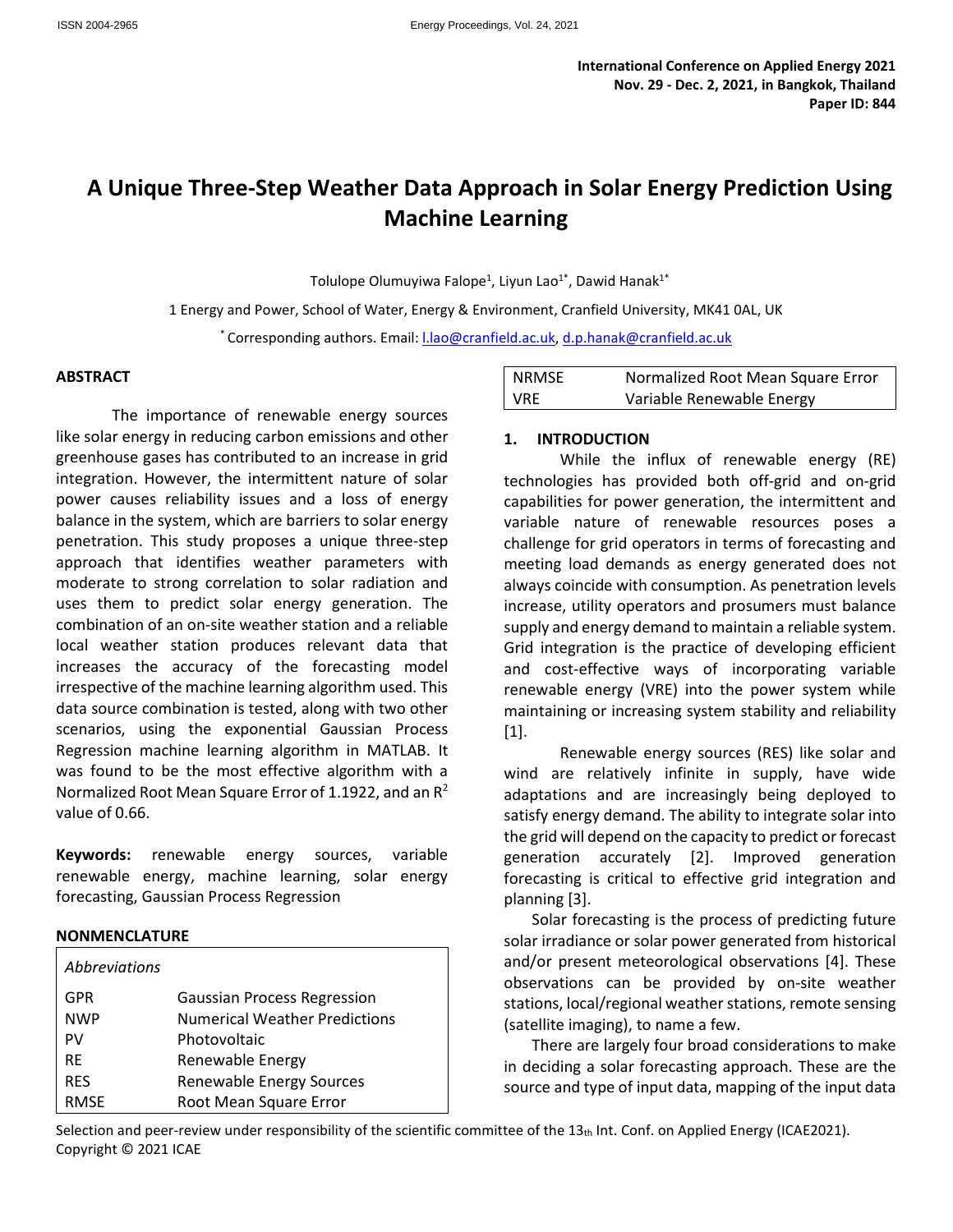# **A Unique Three-Step Weather Data Approach in Solar Energy Prediction Using Machine Learning**

Tolulope Olumuyiwa Falope<sup>1</sup>, Liyun Lao<sup>1\*</sup>, Dawid Hanak<sup>1\*</sup>

1 Energy and Power, School of Water, Energy & Environment, Cranfield University, MK41 0AL, UK \* Corresponding authors. Email[: l.lao@cranfield.ac.uk,](mailto:l.lao@cranfield.ac.uk) [d.p.hanak@cranfield.ac.uk](mailto:d.p.hanak@cranfield.ac.uk)

#### **ABSTRACT**

The importance of renewable energy sources like solar energy in reducing carbon emissions and other greenhouse gases has contributed to an increase in grid integration. However, the intermittent nature of solar power causes reliability issues and a loss of energy balance in the system, which are barriers to solar energy penetration. This study proposes a unique three-step approach that identifies weather parameters with moderate to strong correlation to solar radiation and uses them to predict solar energy generation. The combination of an on-site weather station and a reliable local weather station produces relevant data that increases the accuracy of the forecasting model irrespective of the machine learning algorithm used. This data source combination is tested, along with two other scenarios, using the exponential Gaussian Process Regression machine learning algorithm in MATLAB. It was found to be the most effective algorithm with a Normalized Root Mean Square Error of 1.1922, and an  $R^2$ value of 0.66.

**Keywords:** renewable energy sources, variable renewable energy, machine learning, solar energy forecasting, Gaussian Process Regression

## **NONMENCLATURE**

| Abbreviations |                                      |  |  |
|---------------|--------------------------------------|--|--|
| GPR           | <b>Gaussian Process Regression</b>   |  |  |
| <b>NWP</b>    | <b>Numerical Weather Predictions</b> |  |  |
| PV            | Photovoltaic                         |  |  |
| <b>RF</b>     | Renewable Energy                     |  |  |
| <b>RES</b>    | Renewable Energy Sources             |  |  |
| <b>RMSE</b>   | Root Mean Square Error               |  |  |

| <b>NRMSE</b> | Normalized Root Mean Square Error |
|--------------|-----------------------------------|
| <b>VRE</b>   | Variable Renewable Energy         |

## **1. INTRODUCTION**

While the influx of renewable energy (RE) technologies has provided both off-grid and on-grid capabilities for power generation, the intermittent and variable nature of renewable resources poses a challenge for grid operators in terms of forecasting and meeting load demands as energy generated does not always coincide with consumption. As penetration levels increase, utility operators and prosumers must balance supply and energy demand to maintain a reliable system. Grid integration is the practice of developing efficient and cost-effective ways of incorporating variable renewable energy (VRE) into the power system while maintaining or increasing system stability and reliability [1].

Renewable energy sources (RES) like solar and wind are relatively infinite in supply, have wide adaptations and are increasingly being deployed to satisfy energy demand. The ability to integrate solar into the grid will depend on the capacity to predict or forecast generation accurately [2]. Improved generation forecasting is critical to effective grid integration and planning [3].

Solar forecasting is the process of predicting future solar irradiance or solar power generated from historical and/or present meteorological observations [4]. These observations can be provided by on-site weather stations, local/regional weather stations, remote sensing (satellite imaging), to name a few.

There are largely four broad considerations to make in deciding a solar forecasting approach. These are the source and type of input data, mapping of the input data

Selection and peer-review under responsibility of the scientific committee of the 13th Int. Conf. on Applied Energy (ICAE2021). Copyright © 2021 ICAE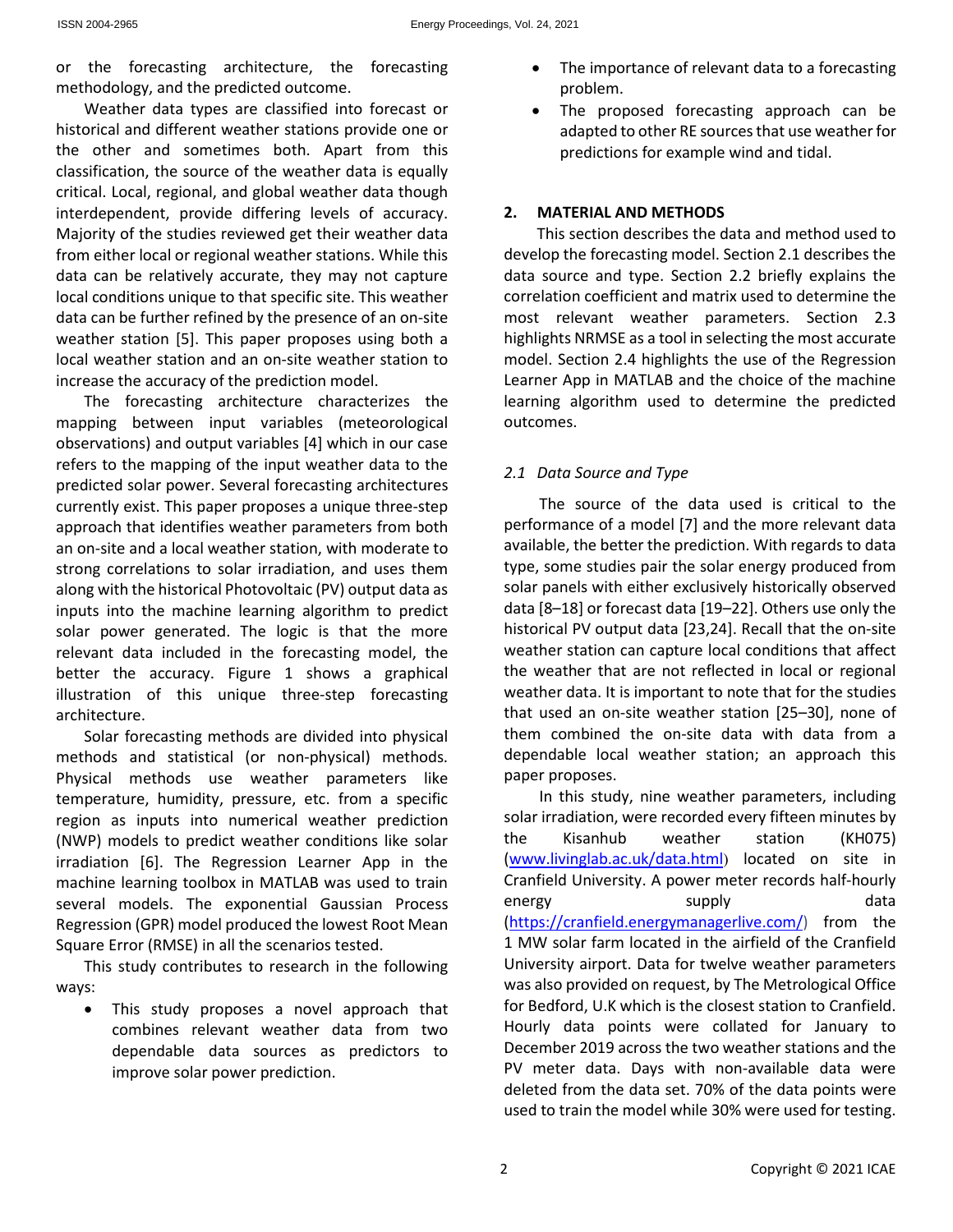or the forecasting architecture, the forecasting methodology, and the predicted outcome.

Weather data types are classified into forecast or historical and different weather stations provide one or the other and sometimes both. Apart from this classification, the source of the weather data is equally critical. Local, regional, and global weather data though interdependent, provide differing levels of accuracy. Majority of the studies reviewed get their weather data from either local or regional weather stations. While this data can be relatively accurate, they may not capture local conditions unique to that specific site. This weather data can be further refined by the presence of an on-site weather station [5]. This paper proposes using both a local weather station and an on-site weather station to increase the accuracy of the prediction model.

The forecasting architecture characterizes the mapping between input variables (meteorological observations) and output variables [4] which in our case refers to the mapping of the input weather data to the predicted solar power. Several forecasting architectures currently exist. This paper proposes a unique three-step approach that identifies weather parameters from both an on-site and a local weather station, with moderate to strong correlations to solar irradiation, and uses them along with the historical Photovoltaic (PV) output data as inputs into the machine learning algorithm to predict solar power generated. The logic is that the more relevant data included in the forecasting model, the better the accuracy. Figure 1 shows a graphical illustration of this unique three-step forecasting architecture.

Solar forecasting methods are divided into physical methods and statistical (or non-physical) methods. Physical methods use weather parameters like temperature, humidity, pressure, etc. from a specific region as inputs into numerical weather prediction (NWP) models to predict weather conditions like solar irradiation [6]. The Regression Learner App in the machine learning toolbox in MATLAB was used to train several models. The exponential Gaussian Process Regression (GPR) model produced the lowest Root Mean Square Error (RMSE) in all the scenarios tested.

This study contributes to research in the following ways:

 This study proposes a novel approach that combines relevant weather data from two dependable data sources as predictors to improve solar power prediction.

- The importance of relevant data to a forecasting problem.
- The proposed forecasting approach can be adapted to other RE sources that use weather for predictions for example wind and tidal.

# **2. MATERIAL AND METHODS**

This section describes the data and method used to develop the forecasting model. Section 2.1 describes the data source and type. Section 2.2 briefly explains the correlation coefficient and matrix used to determine the most relevant weather parameters. Section 2.3 highlights NRMSE as a tool in selecting the most accurate model. Section 2.4 highlights the use of the Regression Learner App in MATLAB and the choice of the machine learning algorithm used to determine the predicted outcomes.

# *2.1 Data Source and Type*

The source of the data used is critical to the performance of a model [7] and the more relevant data available, the better the prediction. With regards to data type, some studies pair the solar energy produced from solar panels with either exclusively historically observed data [8–18] or forecast data [19–22]. Others use only the historical PV output data [23,24]. Recall that the on-site weather station can capture local conditions that affect the weather that are not reflected in local or regional weather data. It is important to note that for the studies that used an on-site weather station [25–30], none of them combined the on-site data with data from a dependable local weather station; an approach this paper proposes.

In this study, nine weather parameters, including solar irradiation, were recorded every fifteen minutes by the Kisanhub weather station (KH075) [\(www.livinglab.ac.uk/data.html](http://www.livinglab.ac.uk/data.html)) located on site in Cranfield University. A power meter records half-hourly energy supply supply data [\(https://cranfield.energymanagerlive.com/\)](https://cranfield.energymanagerlive.com/) from the 1 MW solar farm located in the airfield of the Cranfield University airport. Data for twelve weather parameters was also provided on request, by The Metrological Office for Bedford, U.K which is the closest station to Cranfield. Hourly data points were collated for January to December 2019 across the two weather stations and the PV meter data. Days with non-available data were deleted from the data set. 70% of the data points were used to train the model while 30% were used for testing.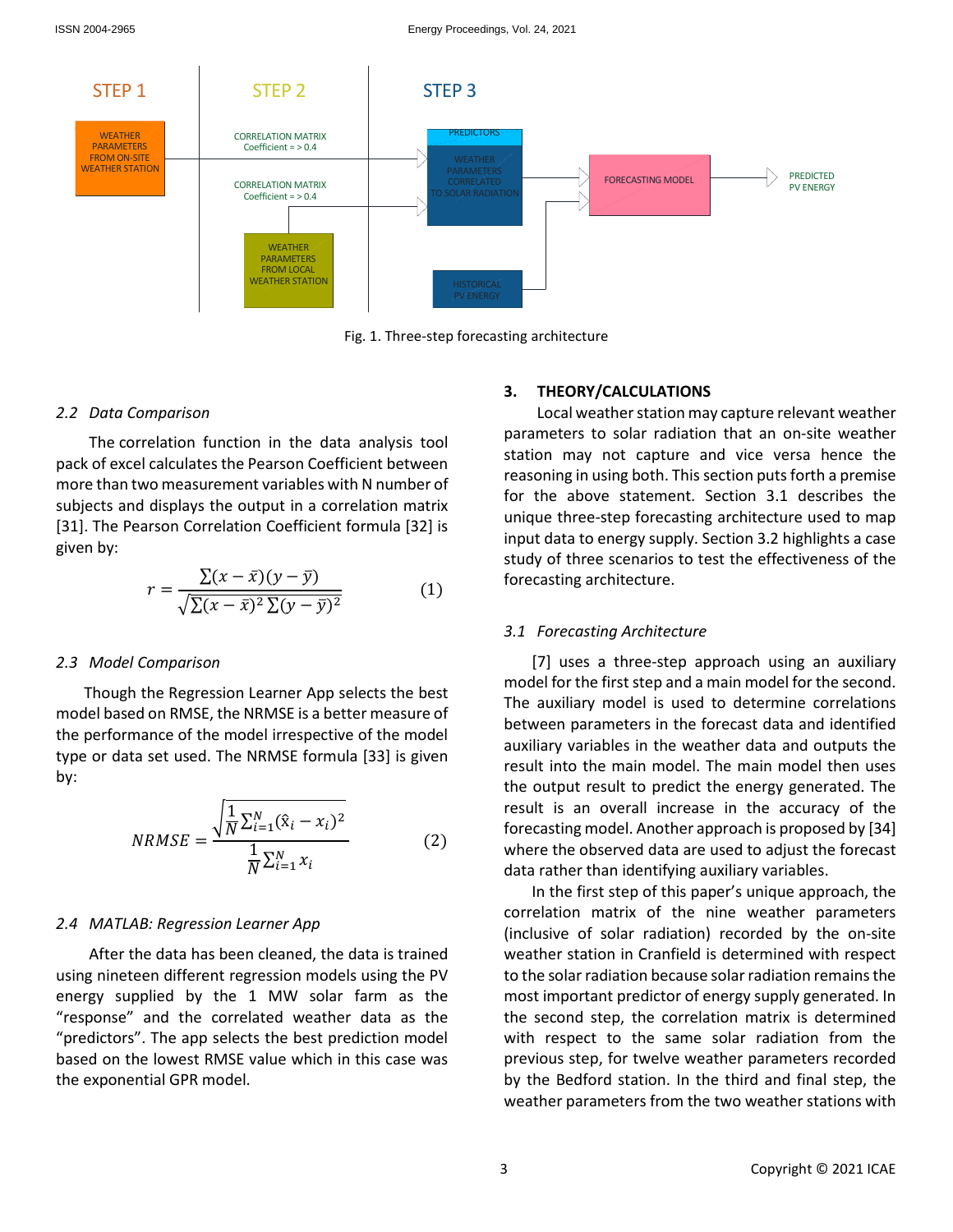

Fig. 1. Three-step forecasting architecture

#### *2.2 Data Comparison*

The correlation function in the data analysis tool pack of excel calculates the Pearson Coefficient between more than two measurement variables with N number of subjects and displays the output in a correlation matrix [31]. The Pearson Correlation Coefficient formula [32] is given by:

$$
r = \frac{\sum (x - \bar{x})(y - \bar{y})}{\sqrt{\sum (x - \bar{x})^2 \sum (y - \bar{y})^2}} \tag{1}
$$

#### *2.3 Model Comparison*

Though the Regression Learner App selects the best model based on RMSE, the NRMSE is a better measure of the performance of the model irrespective of the model type or data set used. The NRMSE formula [33] is given by:

$$
NRMSE = \frac{\sqrt{\frac{1}{N} \sum_{i=1}^{N} (\hat{x}_i - x_i)^2}}{\frac{1}{N} \sum_{i=1}^{N} x_i}
$$
(2)

### *2.4 MATLAB: Regression Learner App*

After the data has been cleaned, the data is trained using nineteen different regression models using the PV energy supplied by the 1 MW solar farm as the "response" and the correlated weather data as the "predictors". The app selects the best prediction model based on the lowest RMSE value which in this case was the exponential GPR model.

## **3. THEORY/CALCULATIONS**

Local weather station may capture relevant weather parameters to solar radiation that an on-site weather station may not capture and vice versa hence the reasoning in using both. This section puts forth a premise for the above statement. Section 3.1 describes the unique three-step forecasting architecture used to map input data to energy supply. Section 3.2 highlights a case study of three scenarios to test the effectiveness of the forecasting architecture.

#### *3.1 Forecasting Architecture*

[7] uses a three-step approach using an auxiliary model for the first step and a main model for the second. The auxiliary model is used to determine correlations between parameters in the forecast data and identified auxiliary variables in the weather data and outputs the result into the main model. The main model then uses the output result to predict the energy generated. The result is an overall increase in the accuracy of the forecasting model. Another approach is proposed by [34] where the observed data are used to adjust the forecast data rather than identifying auxiliary variables.

In the first step of this paper's unique approach, the correlation matrix of the nine weather parameters (inclusive of solar radiation) recorded by the on-site weather station in Cranfield is determined with respect to the solar radiation because solar radiation remains the most important predictor of energy supply generated. In the second step, the correlation matrix is determined with respect to the same solar radiation from the previous step, for twelve weather parameters recorded by the Bedford station. In the third and final step, the weather parameters from the two weather stations with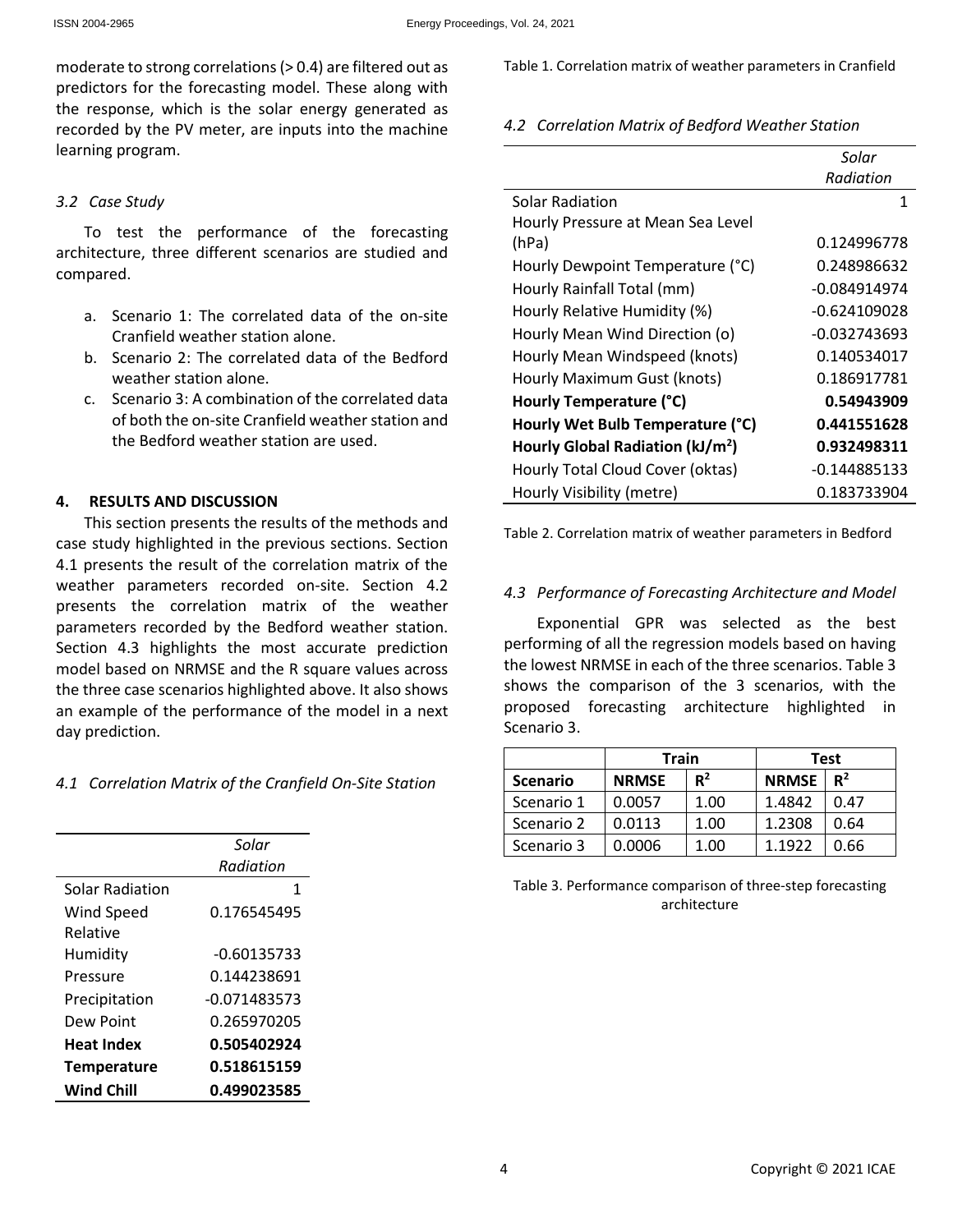moderate to strong correlations (> 0.4) are filtered out as predictors for the forecasting model. These along with the response, which is the solar energy generated as recorded by the PV meter, are inputs into the machine learning program.

## *3.2 Case Study*

To test the performance of the forecasting architecture, three different scenarios are studied and compared.

- a. Scenario 1: The correlated data of the on-site Cranfield weather station alone.
- b. Scenario 2: The correlated data of the Bedford weather station alone.
- c. Scenario 3: A combination of the correlated data of both the on-site Cranfield weather station and the Bedford weather station are used.

# **4. RESULTS AND DISCUSSION**

This section presents the results of the methods and case study highlighted in the previous sections. Section 4.1 presents the result of the correlation matrix of the weather parameters recorded on-site. Section 4.2 presents the correlation matrix of the weather parameters recorded by the Bedford weather station. Section 4.3 highlights the most accurate prediction model based on NRMSE and the R square values across the three case scenarios highlighted above. It also shows an example of the performance of the model in a next day prediction.

# *4.1 Correlation Matrix of the Cranfield On-Site Station*

|                    | Solar         |  |  |
|--------------------|---------------|--|--|
|                    | Radiation     |  |  |
| Solar Radiation    | 1             |  |  |
| Wind Speed         | 0.176545495   |  |  |
| Relative           |               |  |  |
| Humidity           | $-0.60135733$ |  |  |
| Pressure           | 0.144238691   |  |  |
| Precipitation      | -0.071483573  |  |  |
| Dew Point          | 0.265970205   |  |  |
| <b>Heat Index</b>  | 0.505402924   |  |  |
| <b>Temperature</b> | 0.518615159   |  |  |
| Wind Chill         | 0.499023585   |  |  |

Table 1. Correlation matrix of weather parameters in Cranfield

*4.2 Correlation Matrix of Bedford Weather Station* 

|                                              | Solar          |  |
|----------------------------------------------|----------------|--|
|                                              | Radiation      |  |
| Solar Radiation                              | 1              |  |
| Hourly Pressure at Mean Sea Level            |                |  |
| (hPa)                                        | 0.124996778    |  |
| Hourly Dewpoint Temperature (°C)             | 0.248986632    |  |
| Hourly Rainfall Total (mm)                   | -0.084914974   |  |
| Hourly Relative Humidity (%)                 | $-0.624109028$ |  |
| Hourly Mean Wind Direction (o)               | -0.032743693   |  |
| Hourly Mean Windspeed (knots)                | 0.140534017    |  |
| Hourly Maximum Gust (knots)                  | 0.186917781    |  |
| Hourly Temperature (°C)                      | 0.54943909     |  |
| Hourly Wet Bulb Temperature (°C)             | 0.441551628    |  |
| Hourly Global Radiation (kJ/m <sup>2</sup> ) | 0.932498311    |  |
| Hourly Total Cloud Cover (oktas)             | $-0.144885133$ |  |
| Hourly Visibility (metre)                    | 0.183733904    |  |

Table 2. Correlation matrix of weather parameters in Bedford

# *4.3 Performance of Forecasting Architecture and Model*

Exponential GPR was selected as the best performing of all the regression models based on having the lowest NRMSE in each of the three scenarios. Table 3 shows the comparison of the 3 scenarios, with the proposed forecasting architecture highlighted in Scenario 3.

|                 | <b>Train</b> |       | Test         |       |
|-----------------|--------------|-------|--------------|-------|
| <b>Scenario</b> | <b>NRMSE</b> | $R^2$ | <b>NRMSE</b> | $R^2$ |
| Scenario 1      | 0.0057       | 1.00  | 1.4842       | 0.47  |
| Scenario 2      | 0.0113       | 1.00  | 1.2308       | 0.64  |
| Scenario 3      | 0.0006       | 1.00  | 1.1922       | 0.66  |

Table 3. Performance comparison of three-step forecasting architecture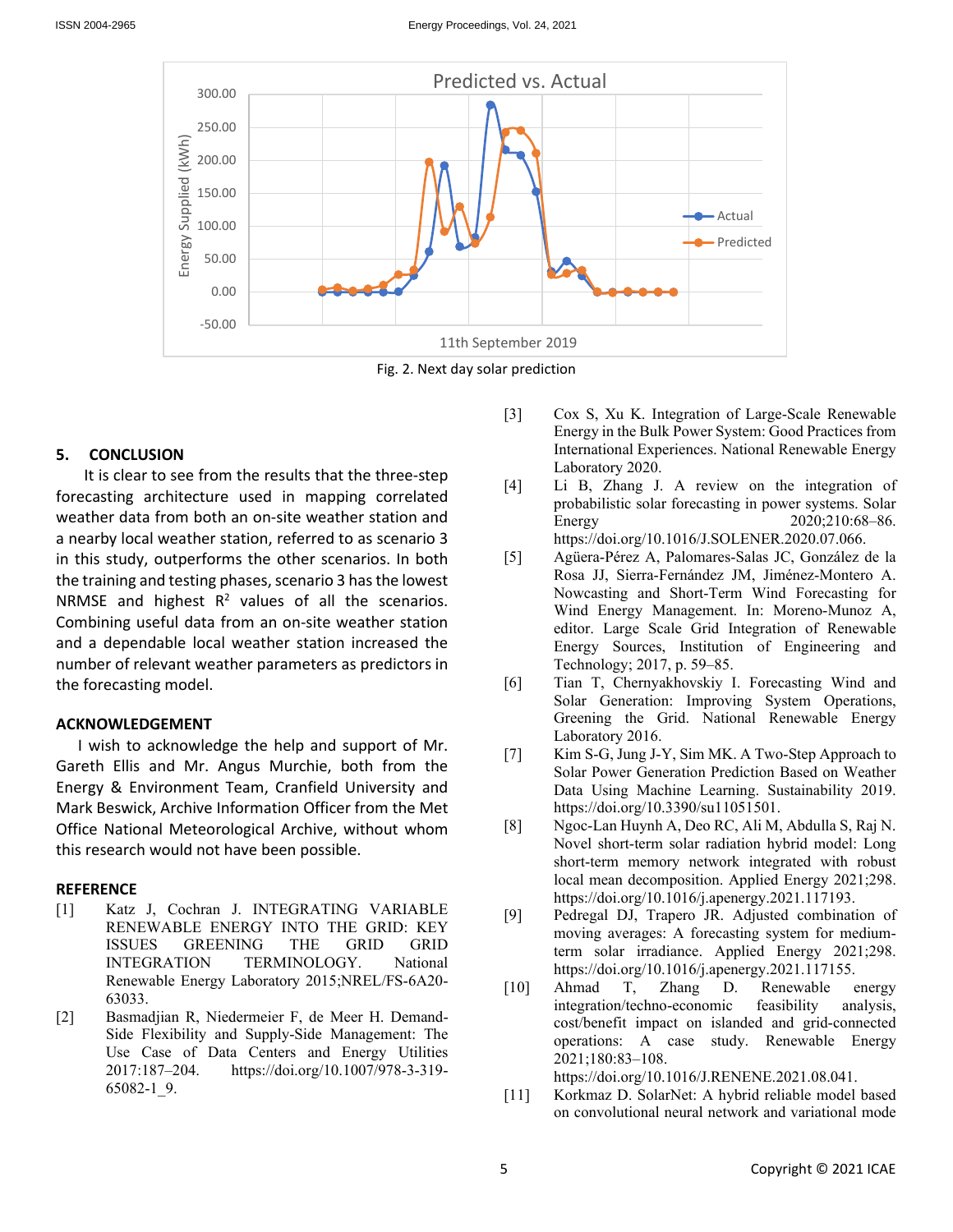

Fig. 2. Next day solar prediction

## **5. CONCLUSION**

It is clear to see from the results that the three-step forecasting architecture used in mapping correlated weather data from both an on-site weather station and a nearby local weather station, referred to as scenario 3 in this study, outperforms the other scenarios. In both the training and testing phases, scenario 3 has the lowest NRMSE and highest  $R^2$  values of all the scenarios. Combining useful data from an on-site weather station and a dependable local weather station increased the number of relevant weather parameters as predictors in the forecasting model.

## **ACKNOWLEDGEMENT**

I wish to acknowledge the help and support of Mr. Gareth Ellis and Mr. Angus Murchie, both from the Energy & Environment Team, Cranfield University and Mark Beswick, Archive Information Officer from the Met Office National Meteorological Archive, without whom this research would not have been possible.

## **REFERENCE**

- [1] Katz J, Cochran J. INTEGRATING VARIABLE RENEWABLE ENERGY INTO THE GRID: KEY ISSUES GREENING THE GRID GRID INTEGRATION TERMINOLOGY. National Renewable Energy Laboratory 2015;NREL/FS-6A20- 63033.
- [2] Basmadjian R, Niedermeier F, de Meer H. Demand-Side Flexibility and Supply-Side Management: The Use Case of Data Centers and Energy Utilities 2017:187–204. https://doi.org/10.1007/978-3-319- 65082-1\_9.
- [3] Cox S, Xu K. Integration of Large-Scale Renewable Energy in the Bulk Power System: Good Practices from International Experiences. National Renewable Energy Laboratory 2020.
- [4] Li B, Zhang J. A review on the integration of probabilistic solar forecasting in power systems. Solar Energy 2020;210:68–86. https://doi.org/10.1016/J.SOLENER.2020.07.066.
- [5] Agüera-Pérez A, Palomares-Salas JC, González de la Rosa JJ, Sierra-Fernández JM, Jiménez-Montero A. Nowcasting and Short-Term Wind Forecasting for Wind Energy Management. In: Moreno-Munoz A, editor. Large Scale Grid Integration of Renewable Energy Sources, Institution of Engineering and Technology; 2017, p. 59–85.
- [6] Tian T, Chernyakhovskiy I. Forecasting Wind and Solar Generation: Improving System Operations, Greening the Grid. National Renewable Energy Laboratory 2016.
- [7] Kim S-G, Jung J-Y, Sim MK. A Two-Step Approach to Solar Power Generation Prediction Based on Weather Data Using Machine Learning. Sustainability 2019. https://doi.org/10.3390/su11051501.
- [8] Ngoc-Lan Huynh A, Deo RC, Ali M, Abdulla S, Raj N. Novel short-term solar radiation hybrid model: Long short-term memory network integrated with robust local mean decomposition. Applied Energy 2021;298. https://doi.org/10.1016/j.apenergy.2021.117193.
- [9] Pedregal DJ, Trapero JR. Adjusted combination of moving averages: A forecasting system for mediumterm solar irradiance. Applied Energy 2021;298. https://doi.org/10.1016/j.apenergy.2021.117155.
- [10] Ahmad T, Zhang D. Renewable energy integration/techno-economic feasibility analysis, cost/benefit impact on islanded and grid-connected operations: A case study. Renewable Energy 2021;180:83–108.

https://doi.org/10.1016/J.RENENE.2021.08.041.

[11] Korkmaz D. SolarNet: A hybrid reliable model based on convolutional neural network and variational mode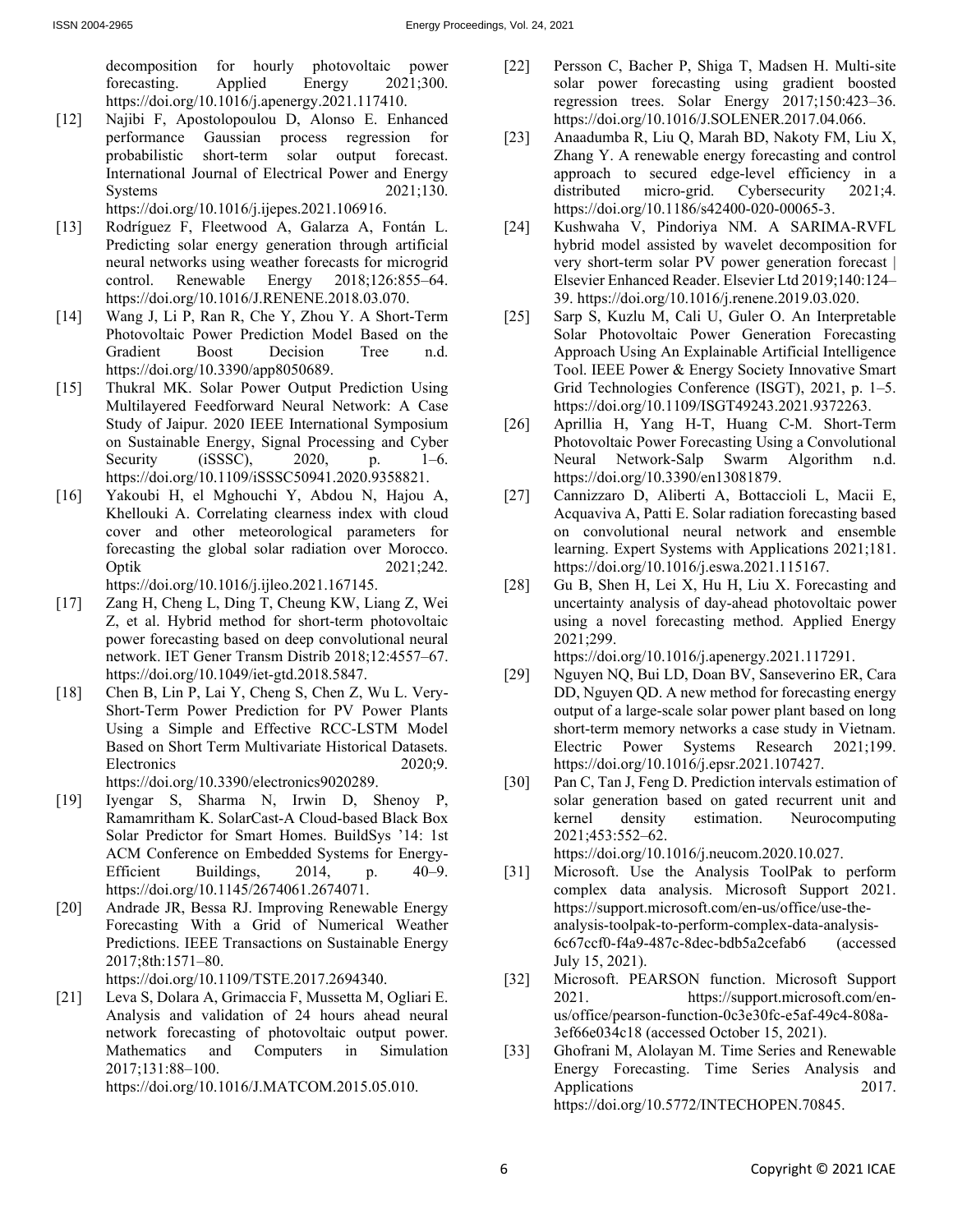decomposition for hourly photovoltaic power forecasting. Applied Energy 2021;300. https://doi.org/10.1016/j.apenergy.2021.117410.

- [12] Najibi F, Apostolopoulou D, Alonso E. Enhanced performance Gaussian process regression for probabilistic short-term solar output forecast. International Journal of Electrical Power and Energy Systems 2021:130. https://doi.org/10.1016/j.ijepes.2021.106916.
- [13] Rodríguez F, Fleetwood A, Galarza A, Fontán L. Predicting solar energy generation through artificial neural networks using weather forecasts for microgrid control. Renewable Energy 2018;126:855–64. https://doi.org/10.1016/J.RENENE.2018.03.070.
- [14] Wang J, Li P, Ran R, Che Y, Zhou Y. A Short-Term Photovoltaic Power Prediction Model Based on the Gradient Boost Decision Tree n.d. https://doi.org/10.3390/app8050689.
- [15] Thukral MK. Solar Power Output Prediction Using Multilayered Feedforward Neural Network: A Case Study of Jaipur. 2020 IEEE International Symposium on Sustainable Energy, Signal Processing and Cyber Security (iSSSC), 2020, p. 1–6. https://doi.org/10.1109/iSSSC50941.2020.9358821.
- [16] Yakoubi H, el Mghouchi Y, Abdou N, Hajou A, Khellouki A. Correlating clearness index with cloud cover and other meteorological parameters for forecasting the global solar radiation over Morocco. Optik 2021;242. https://doi.org/10.1016/j.ijleo.2021.167145.
- [17] Zang H, Cheng L, Ding T, Cheung KW, Liang Z, Wei Z, et al. Hybrid method for short-term photovoltaic power forecasting based on deep convolutional neural network. IET Gener Transm Distrib 2018;12:4557–67. https://doi.org/10.1049/iet-gtd.2018.5847.
- [18] Chen B, Lin P, Lai Y, Cheng S, Chen Z, Wu L. Very-Short-Term Power Prediction for PV Power Plants Using a Simple and Effective RCC-LSTM Model Based on Short Term Multivariate Historical Datasets. Electronics 2020;9. https://doi.org/10.3390/electronics9020289.
- [19] Iyengar S, Sharma N, Irwin D, Shenoy P, Ramamritham K. SolarCast-A Cloud-based Black Box Solar Predictor for Smart Homes. BuildSys '14: 1st ACM Conference on Embedded Systems for Energy-Efficient Buildings, 2014, p. 40–9. https://doi.org/10.1145/2674061.2674071.
- [20] Andrade JR, Bessa RJ. Improving Renewable Energy Forecasting With a Grid of Numerical Weather Predictions. IEEE Transactions on Sustainable Energy 2017;8th:1571–80.

https://doi.org/10.1109/TSTE.2017.2694340.

[21] Leva S, Dolara A, Grimaccia F, Mussetta M, Ogliari E. Analysis and validation of 24 hours ahead neural network forecasting of photovoltaic output power. Mathematics and Computers in Simulation 2017;131:88–100.

https://doi.org/10.1016/J.MATCOM.2015.05.010.

- [22] Persson C, Bacher P, Shiga T, Madsen H. Multi-site solar power forecasting using gradient boosted regression trees. Solar Energy 2017;150:423–36. https://doi.org/10.1016/J.SOLENER.2017.04.066.
- [23] Anaadumba R, Liu Q, Marah BD, Nakoty FM, Liu X, Zhang Y. A renewable energy forecasting and control approach to secured edge-level efficiency in a distributed micro-grid. Cybersecurity 2021;4. https://doi.org/10.1186/s42400-020-00065-3.
- [24] Kushwaha V, Pindoriya NM. A SARIMA-RVFL hybrid model assisted by wavelet decomposition for very short-term solar PV power generation forecast | Elsevier Enhanced Reader. Elsevier Ltd 2019;140:124– 39. https://doi.org/10.1016/j.renene.2019.03.020.
- [25] Sarp S, Kuzlu M, Cali U, Guler O. An Interpretable Solar Photovoltaic Power Generation Forecasting Approach Using An Explainable Artificial Intelligence Tool. IEEE Power & Energy Society Innovative Smart Grid Technologies Conference (ISGT), 2021, p. 1–5. https://doi.org/10.1109/ISGT49243.2021.9372263.
- [26] Aprillia H, Yang H-T, Huang C-M. Short-Term Photovoltaic Power Forecasting Using a Convolutional Neural Network-Salp Swarm Algorithm n.d. https://doi.org/10.3390/en13081879.
- [27] Cannizzaro D, Aliberti A, Bottaccioli L, Macii E, Acquaviva A, Patti E. Solar radiation forecasting based on convolutional neural network and ensemble learning. Expert Systems with Applications 2021;181. https://doi.org/10.1016/j.eswa.2021.115167.
- [28] Gu B, Shen H, Lei X, Hu H, Liu X. Forecasting and uncertainty analysis of day-ahead photovoltaic power using a novel forecasting method. Applied Energy 2021;299.

https://doi.org/10.1016/j.apenergy.2021.117291.

- [29] Nguyen NQ, Bui LD, Doan BV, Sanseverino ER, Cara DD, Nguyen QD. A new method for forecasting energy output of a large-scale solar power plant based on long short-term memory networks a case study in Vietnam. Electric Power Systems Research 2021;199. https://doi.org/10.1016/j.epsr.2021.107427.
- [30] Pan C, Tan J, Feng D. Prediction intervals estimation of solar generation based on gated recurrent unit and kernel density estimation. Neurocomputing 2021;453:552–62.

https://doi.org/10.1016/j.neucom.2020.10.027.

- [31] Microsoft. Use the Analysis ToolPak to perform complex data analysis. Microsoft Support 2021. https://support.microsoft.com/en-us/office/use-theanalysis-toolpak-to-perform-complex-data-analysis-6c67ccf0-f4a9-487c-8dec-bdb5a2cefab6 (accessed July 15, 2021).
- [32] Microsoft. PEARSON function. Microsoft Support 2021. https://support.microsoft.com/enus/office/pearson-function-0c3e30fc-e5af-49c4-808a-3ef66e034c18 (accessed October 15, 2021).
- [33] Ghofrani M, Alolayan M. Time Series and Renewable Energy Forecasting. Time Series Analysis and Applications 2017. https://doi.org/10.5772/INTECHOPEN.70845.